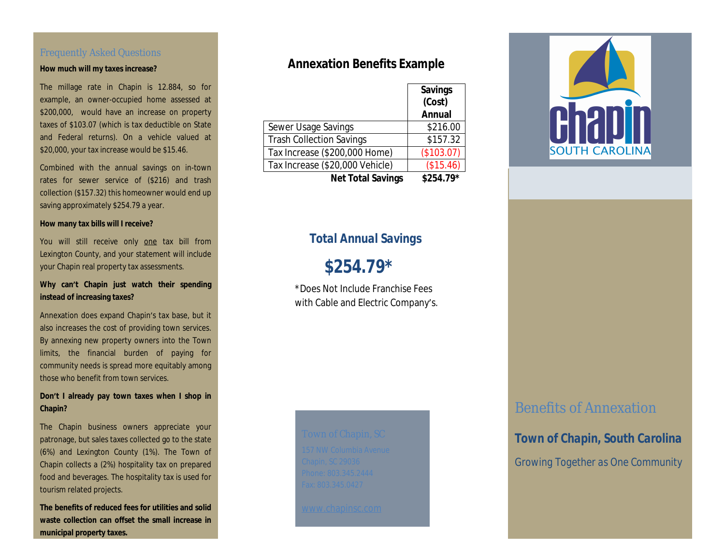### Frequently Asked Questions

#### **How much will my taxes increase?**

The millage rate in Chapin is 12.884, so for example, an owner-occupied home assessed at \$200,000, would have an increase on property taxes of \$103.07 (which is tax deductible on State and Federal returns). On a vehicle valued at \$20,000, your tax increase would be \$15.46.

Combined with the annual savings on in-town rates for sewer service of (\$216) and trash collection (\$157.32) this homeowner would end up saving approximately \$254.79 a year.

#### **How many tax bills will I receive?**

You will still receive only one tax bill from Lexington County, and your statement will include your Chapin real property tax assessments.

### **Why can't Chapin just watch their spending instead of increasing taxes?**

Annexation does expand Chapin's tax base, but it also increases the cost of providing town services. By annexing new property owners into the Town limits, the financial burden of paying for community needs is spread more equitably among those who benefit from town services.

#### **Don't I already pay town taxes when I shop in Chapin?**

The Chapin business owners appreciate your patronage, but sales taxes collected go to the state (6%) and Lexington County (1%). The Town of Chapin collects a (2%) hospitality tax on prepared food and beverages. The hospitality tax is used for tourism related projects.

**The benefits of reduced fees for utilities and solid waste collection can offset the small increase in municipal property taxes.** 

### **Annexation Benefits Example**

|                                 | <b>Savings</b><br>(Cost) |
|---------------------------------|--------------------------|
|                                 | <b>Annual</b>            |
| Sewer Usage Savings             | \$216.00                 |
| <b>Trash Collection Savings</b> | \$157.32                 |
| Tax Increase (\$200,000 Home)   | (\$103.07)               |
| Tax Increase (\$20,000 Vehicle) | (\$15.46)                |
| <b>Net Total Savings</b>        | $$254.79*$               |

### *Total Annual Savings*

 *\$254.79\**

\*Does Not Include Franchise Fees with Cable and Electric Company's.



## Benefits of Annexation

*Town of Chapin, South Carolina Growing Together as One Community*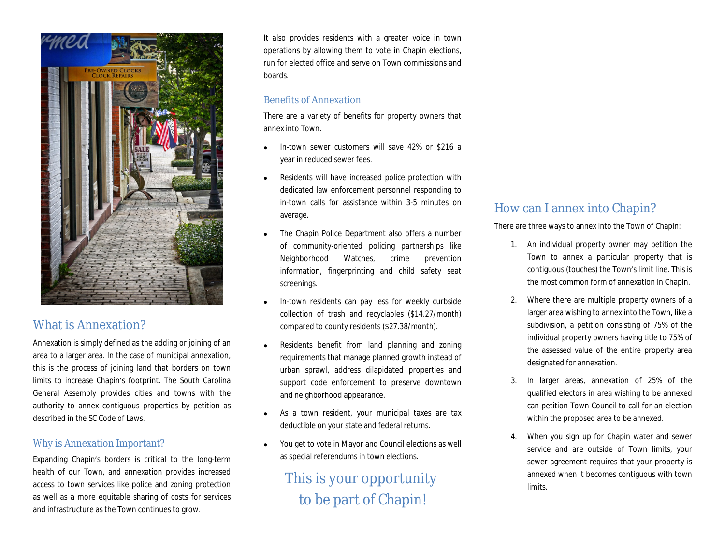

# What is Annexation?

Annexation is simply defined as the adding or joining of an area to a larger area. In the case of municipal annexation, this is the process of joining land that borders on town limits to increase Chapin's footprint. The South Carolina General Assembly provides cities and towns with the authority to annex contiguous properties by petition as described in the SC Code of Laws.

### Why is Annexation Important?

Expanding Chapin's borders is critical to the long-term health of our Town, and annexation provides increased access to town services like police and zoning protection as well as a more equitable sharing of costs for services and infrastructure as the Town continues to grow.

It also provides residents with a greater voice in town operations by allowing them to vote in Chapin elections, run for elected office and serve on Town commissions and boards.

### Benefits of Annexation

There are a variety of benefits for property owners that annex into Town.

- In-town sewer customers will save 42% or \$216 a year in reduced sewer fees.
- Residents will have increased police protection with dedicated law enforcement personnel responding to in-town calls for assistance within 3-5 minutes on average.
- The Chapin Police Department also offers a number of community-oriented policing partnerships like Neighborhood Watches, crime prevention information, fingerprinting and child safety seat screenings.
- In-town residents can pay less for weekly curbside collection of trash and recyclables (\$14.27/month) compared to county residents (\$27.38/month).
- Residents benefit from land planning and zoning requirements that manage planned growth instead of urban sprawl, address dilapidated properties and support code enforcement to preserve downtown and neighborhood appearance.
- As a town resident, your municipal taxes are tax deductible on your state and federal returns.
- You get to vote in Mayor and Council elections as well as special referendums in town elections.

# This is your opportunity to be part of Chapin!

### How can I annex into Chapin?

There are three ways to annex into the Town of Chapin:

- 1. An individual property owner may petition the Town to annex a particular property that is contiguous (touches) the Town's limit line. This is the most common form of annexation in Chapin.
- 2. Where there are multiple property owners of a larger area wishing to annex into the Town, like a subdivision, a petition consisting of 75% of the individual property owners having title to 75% of the assessed value of the entire property area designated for annexation.
- 3. In larger areas, annexation of 25% of the qualified electors in area wishing to be annexed can petition Town Council to call for an election within the proposed area to be annexed.
- 4. When you sign up for Chapin water and sewer service and are outside of Town limits, your sewer agreement requires that your property is annexed when it becomes contiguous with town limits.